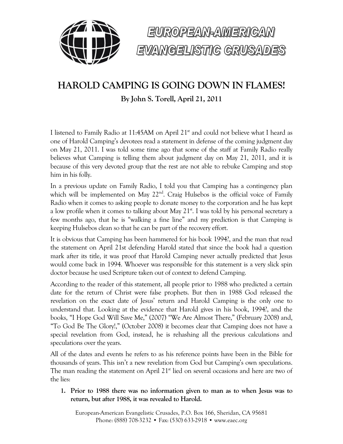



## **HAROLD CAMPING IS GOING DOWN IN FLAMES!**

**By John S. Torell, April 21, 2011**

I listened to Family Radio at 11:45AM on April 21<sup>st</sup> and could not believe what I heard as one of Harold Camping's devotees read a statement in defense of the coming judgment day on May 21, 2011. I was told some time ago that some of the staff at Family Radio really believes what Camping is telling them about judgment day on May 21, 2011, and it is because of this very devoted group that the rest are not able to rebuke Camping and stop him in his folly.

In a previous update on Family Radio, I told you that Camping has a contingency plan which will be implemented on May 22<sup>nd</sup>. Craig Hulsebos is the official voice of Family Radio when it comes to asking people to donate money to the corporation and he has kept a low profile when it comes to talking about May  $21<sup>st</sup>$ . I was told by his personal secretary a few months ago, that he is "walking a fine line" and my prediction is that Camping is keeping Hulsebos clean so that he can be part of the recovery effort.

It is obvious that Camping has been hammered for his book 1994?, and the man that read the statement on April 21st defending Harold stated that since the book had a question mark after its title, it was proof that Harold Camping never actually predicted that Jesus would come back in 1994. Whoever was responsible for this statement is a very slick spin doctor because he used Scripture taken out of context to defend Camping.

According to the reader of this statement, all people prior to 1988 who predicted a certain date for the return of Christ were false prophets. But then in 1988 God released the revelation on the exact date of Jesus' return and Harold Camping is the only one to understand that. Looking at the evidence that Harold gives in his book, 1994?, and the books, "I Hope God Will Save Me," (2007) "We Are Almost There," (February 2008) and, "To God Be The Glory!," (October 2008) it becomes clear that Camping does not have a special revelation from God, instead, he is rehashing all the previous calculations and speculations over the years.

All of the dates and events he refers to as his reference points have been in the Bible for thousands of years. This isn't a new revelation from God but Camping's own speculations. The man reading the statement on April  $21<sup>st</sup>$  lied on several occasions and here are two of the lies:

**1. Prior to 1988 there was no information given to man as to when Jesus was to return, but after 1988, it was revealed to Harold.** 

European-American Evangelistic Crusades, P.O. Box 166, Sheridan, CA 95681 Phone: (888) 708-3232 • Fax: (530) 633-2918 • www.eaec.org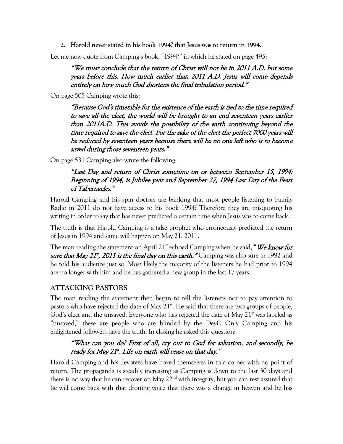**2. Harold never stated in his book 1994? that Jesus was to return in 1994.**

Let me now quote from Camping's book, "1994?" in which he stated on page 495:

"We must conclude that the return of Christ will not be in 2011 A.D. but some years before this. How much earlier than 2011 A.D. Jesus will come depends entirely on how much God shortens the final tribulation period."

On page 505 Camping wrote this:

"Because God's timetable for the existence of the earth is tied to the time required to save all the elect, the world will be brought to an end seventeen years earlier than 2011A.D. This avoids the possibility of the earth continuing beyond the time required to save the elect. For the sake of the elect the perfect 7000 years will be reduced by seventeen years because there will be no one left who is to become saved during those seventeen years."

On page 531 Camping also wrote the following:

## "Last Day and return of Christ sometime on or between September 15, 1994: Beginning of 1994, is Jubilee year and September 27, 1994 Last Day of the Feast of Tabernacles."

Harold Camping and his spin doctors are banking that most people listening to Family Radio in 2011 do not have access to his book 1994? Therefore they are misquoting his writing in order to say that has never predicted a certain time when Jesus was to come back.

The truth is that Harold Camping is a false prophet who erroneously predicted the return of Jesus in 1994 and same will happen on May 21, 2011.

The man reading the statement on April  $21^{\text{st}}$  echoed Camping when he said, "We know for sure that May 21<sup>st</sup>, 2011 is the final day on this earth." Camping was also sure in 1992 and he told his audience just so. Most likely the majority of the listeners he had prior to 1994 are no longer with him and he has gathered a new group in the last 17 years.

## **ATTACKING PASTORS**

The man reading the statement then began to tell the listeners not to pay attention to pastors who have rejected the date of May  $21<sup>st</sup>$ . He said that there are two groups of people, God's elect and the unsaved. Everyone who has rejected the date of May  $21<sup>st</sup>$  was labeled as "unsaved," these are people who are blinded by the Devil. Only Camping and his enlightened followers have the truth. In closing he asked this question:

## "What can you do? First of all, cry out to God for salvation, and secondly, be ready for May  $21^{st}$ . Life on earth will cease on that day."

Harold Camping and his devotees have boxed themselves in to a corner with no point of return. The propaganda is steadily increasing as Camping is down to the last 30 days and there is no way that he can recover on May  $22<sup>nd</sup>$  with integrity, but you can rest assured that he will come back with that droning voice that there was a change in heaven and he has